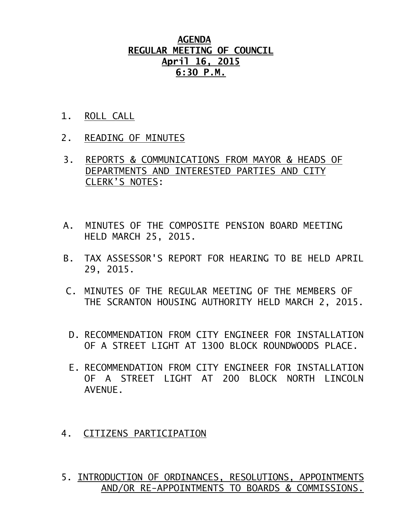## **AGENDA REGULAR MEETING OF COUNCIL April 16, 2015 6:30 P.M.**

- 1. ROLL CALL
- 2. READING OF MINUTES
- 3. REPORTS & COMMUNICATIONS FROM MAYOR & HEADS OF DEPARTMENTS AND INTERESTED PARTIES AND CITY CLERK'S NOTES:
- A. MINUTES OF THE COMPOSITE PENSION BOARD MEETING HELD MARCH 25, 2015.
- B. TAX ASSESSOR'S REPORT FOR HEARING TO BE HELD APRIL 29, 2015.
- C. MINUTES OF THE REGULAR MEETING OF THE MEMBERS OF THE SCRANTON HOUSING AUTHORITY HELD MARCH 2, 2015.
- D. RECOMMENDATION FROM CITY ENGINEER FOR INSTALLATION OF A STREET LIGHT AT 1300 BLOCK ROUNDWOODS PLACE.
- E. RECOMMENDATION FROM CITY ENGINEER FOR INSTALLATION OF A STREET LIGHT AT 200 BLOCK NORTH LINCOLN AVENUE.
- 4. CITIZENS PARTICIPATION
- 5. INTRODUCTION OF ORDINANCES, RESOLUTIONS, APPOINTMENTS AND/OR RE-APPOINTMENTS TO BOARDS & COMMISSIONS.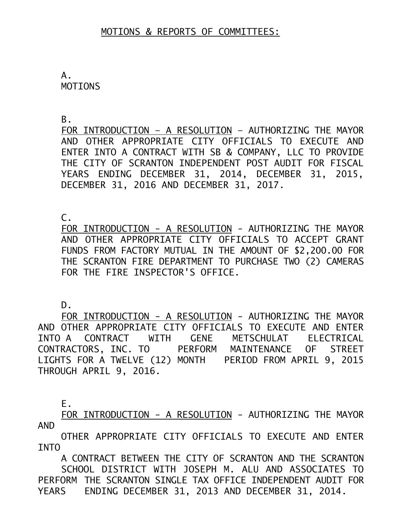A. MOTIONS

B.

FOR INTRODUCTION – A RESOLUTION – AUTHORIZING THE MAYOR AND OTHER APPROPRIATE CITY OFFICIALS TO EXECUTE AND ENTER INTO A CONTRACT WITH SB & COMPANY, LLC TO PROVIDE THE CITY OF SCRANTON INDEPENDENT POST AUDIT FOR FISCAL YEARS ENDING DECEMBER 31, 2014, DECEMBER 31, 2015, DECEMBER 31, 2016 AND DECEMBER 31, 2017.

 $\mathsf{C}$ .

FOR INTRODUCTION - A RESOLUTION - AUTHORIZING THE MAYOR AND OTHER APPROPRIATE CITY OFFICIALS TO ACCEPT GRANT FUNDS FROM FACTORY MUTUAL IN THE AMOUNT OF \$2,200.00 FOR THE SCRANTON FIRE DEPARTMENT TO PURCHASE TWO (2) CAMERAS FOR THE FIRE INSPECTOR'S OFFICE.

D.

FOR INTRODUCTION - A RESOLUTION - AUTHORIZING THE MAYOR AND OTHER APPROPRIATE CITY OFFICIALS TO EXECUTE AND ENTER INTO A CONTRACT WITH GENE METSCHULAT ELECTRICAL CONTRACTORS, INC. TO PERFORM MAINTENANCE OF STREET LIGHTS FOR A TWELVE (12) MONTH PERIOD FROM APRIL 9, 2015 THROUGH APRIL 9, 2016.

E.

FOR INTRODUCTION - A RESOLUTION - AUTHORIZING THE MAYOR AND

OTHER APPROPRIATE CITY OFFICIALS TO EXECUTE AND ENTER INTO

A CONTRACT BETWEEN THE CITY OF SCRANTON AND THE SCRANTON SCHOOL DISTRICT WITH JOSEPH M. ALU AND ASSOCIATES TO PERFORM THE SCRANTON SINGLE TAX OFFICE INDEPENDENT AUDIT FOR YEARS ENDING DECEMBER 31, 2013 AND DECEMBER 31, 2014.